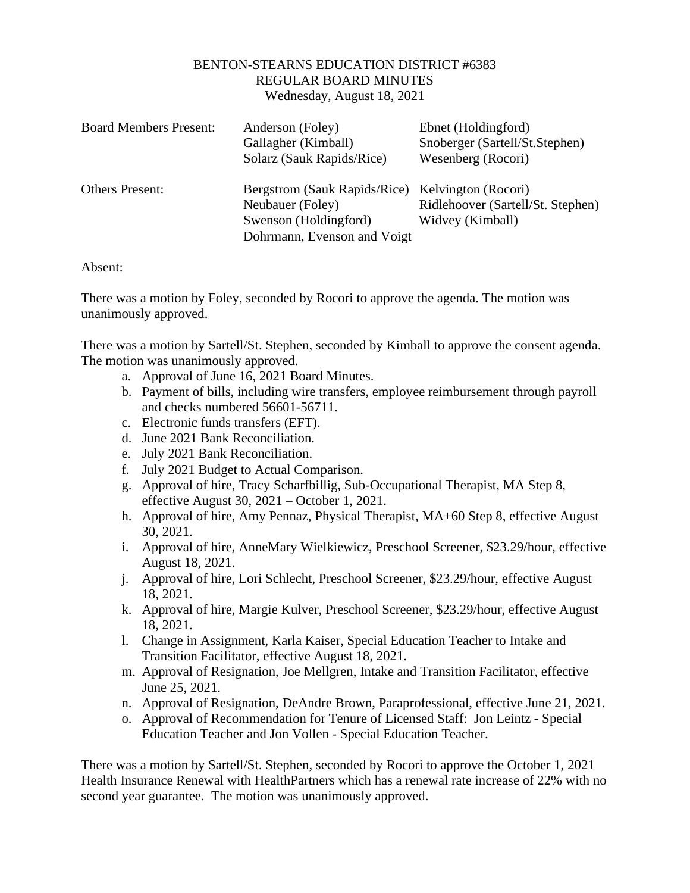## BENTON-STEARNS EDUCATION DISTRICT #6383 REGULAR BOARD MINUTES Wednesday, August 18, 2021

| <b>Board Members Present:</b> | Anderson (Foley)<br>Gallagher (Kimball)<br>Solarz (Sauk Rapids/Rice)                                                         | Ebnet (Holdingford)<br>Snoberger (Sartell/St.Stephen)<br>Wesenberg (Rocori) |
|-------------------------------|------------------------------------------------------------------------------------------------------------------------------|-----------------------------------------------------------------------------|
| <b>Others Present:</b>        | Bergstrom (Sauk Rapids/Rice) Kelvington (Rocori)<br>Neubauer (Foley)<br>Swenson (Holdingford)<br>Dohrmann, Evenson and Voigt | Ridlehoover (Sartell/St. Stephen)<br>Widvey (Kimball)                       |

Absent:

There was a motion by Foley, seconded by Rocori to approve the agenda. The motion was unanimously approved.

There was a motion by Sartell/St. Stephen, seconded by Kimball to approve the consent agenda. The motion was unanimously approved.

- a. Approval of June 16, 2021 Board Minutes.
- b. Payment of bills, including wire transfers, employee reimbursement through payroll and checks numbered 56601-56711.
- c. Electronic funds transfers (EFT).
- d. June 2021 Bank Reconciliation.
- e. July 2021 Bank Reconciliation.
- f. July 2021 Budget to Actual Comparison.
- g. Approval of hire, Tracy Scharfbillig, Sub-Occupational Therapist, MA Step 8, effective August 30, 2021 – October 1, 2021.
- h. Approval of hire, Amy Pennaz, Physical Therapist, MA+60 Step 8, effective August 30, 2021.
- i. Approval of hire, AnneMary Wielkiewicz, Preschool Screener, \$23.29/hour, effective August 18, 2021.
- j. Approval of hire, Lori Schlecht, Preschool Screener, \$23.29/hour, effective August 18, 2021.
- k. Approval of hire, Margie Kulver, Preschool Screener, \$23.29/hour, effective August 18, 2021.
- l. Change in Assignment, Karla Kaiser, Special Education Teacher to Intake and Transition Facilitator, effective August 18, 2021.
- m. Approval of Resignation, Joe Mellgren, Intake and Transition Facilitator, effective June 25, 2021.
- n. Approval of Resignation, DeAndre Brown, Paraprofessional, effective June 21, 2021.
- o. Approval of Recommendation for Tenure of Licensed Staff: Jon Leintz Special Education Teacher and Jon Vollen - Special Education Teacher.

There was a motion by Sartell/St. Stephen, seconded by Rocori to approve the October 1, 2021 Health Insurance Renewal with HealthPartners which has a renewal rate increase of 22% with no second year guarantee. The motion was unanimously approved.